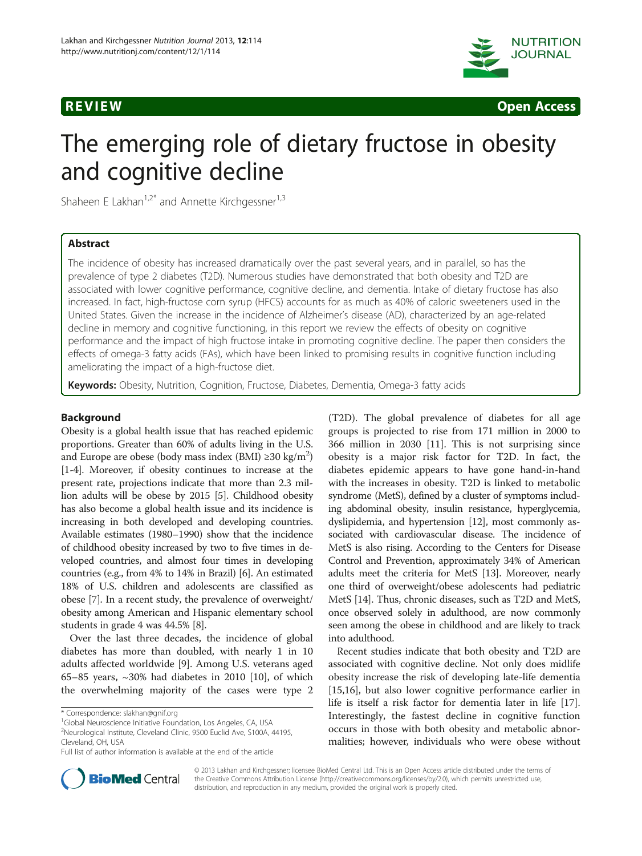



# The emerging role of dietary fructose in obesity and cognitive decline

Shaheen E Lakhan<sup>1,2\*</sup> and Annette Kirchgessner<sup>1,3</sup>

# Abstract

The incidence of obesity has increased dramatically over the past several years, and in parallel, so has the prevalence of type 2 diabetes (T2D). Numerous studies have demonstrated that both obesity and T2D are associated with lower cognitive performance, cognitive decline, and dementia. Intake of dietary fructose has also increased. In fact, high-fructose corn syrup (HFCS) accounts for as much as 40% of caloric sweeteners used in the United States. Given the increase in the incidence of Alzheimer's disease (AD), characterized by an age-related decline in memory and cognitive functioning, in this report we review the effects of obesity on cognitive performance and the impact of high fructose intake in promoting cognitive decline. The paper then considers the effects of omega-3 fatty acids (FAs), which have been linked to promising results in cognitive function including ameliorating the impact of a high-fructose diet.

Keywords: Obesity, Nutrition, Cognition, Fructose, Diabetes, Dementia, Omega-3 fatty acids

# Background

Obesity is a global health issue that has reached epidemic proportions. Greater than 60% of adults living in the U.S. and Europe are obese (body mass index  $(BMI) \ge 30 \text{ kg/m}^2$ ) [[1-4\]](#page-8-0). Moreover, if obesity continues to increase at the present rate, projections indicate that more than 2.3 million adults will be obese by 2015 [\[5](#page-8-0)]. Childhood obesity has also become a global health issue and its incidence is increasing in both developed and developing countries. Available estimates (1980–1990) show that the incidence of childhood obesity increased by two to five times in developed countries, and almost four times in developing countries (e.g., from 4% to 14% in Brazil) [[6\]](#page-8-0). An estimated 18% of U.S. children and adolescents are classified as obese [\[7\]](#page-8-0). In a recent study, the prevalence of overweight/ obesity among American and Hispanic elementary school students in grade 4 was 44.5% [[8\]](#page-8-0).

Over the last three decades, the incidence of global diabetes has more than doubled, with nearly 1 in 10 adults affected worldwide [\[9](#page-8-0)]. Among U.S. veterans aged 65–85 years,  $\sim$ 30% had diabetes in 2010 [[10\]](#page-8-0), of which the overwhelming majority of the cases were type 2 (T2D). The global prevalence of diabetes for all age groups is projected to rise from 171 million in 2000 to 366 million in 2030 [\[11\]](#page-8-0). This is not surprising since obesity is a major risk factor for T2D. In fact, the diabetes epidemic appears to have gone hand-in-hand with the increases in obesity. T2D is linked to metabolic syndrome (MetS), defined by a cluster of symptoms including abdominal obesity, insulin resistance, hyperglycemia, dyslipidemia, and hypertension [\[12\]](#page-8-0), most commonly associated with cardiovascular disease. The incidence of MetS is also rising. According to the Centers for Disease Control and Prevention, approximately 34% of American adults meet the criteria for MetS [\[13](#page-8-0)]. Moreover, nearly one third of overweight/obese adolescents had pediatric MetS [[14\]](#page-8-0). Thus, chronic diseases, such as T2D and MetS, once observed solely in adulthood, are now commonly seen among the obese in childhood and are likely to track into adulthood.

Recent studies indicate that both obesity and T2D are associated with cognitive decline. Not only does midlife obesity increase the risk of developing late-life dementia [[15,16\]](#page-8-0), but also lower cognitive performance earlier in life is itself a risk factor for dementia later in life [\[17](#page-8-0)]. Interestingly, the fastest decline in cognitive function occurs in those with both obesity and metabolic abnormalities; however, individuals who were obese without



© 2013 Lakhan and Kirchgessner; licensee BioMed Central Ltd. This is an Open Access article distributed under the terms of the Creative Commons Attribution License [\(http://creativecommons.org/licenses/by/2.0\)](http://creativecommons.org/licenses/by/2.0), which permits unrestricted use, distribution, and reproduction in any medium, provided the original work is properly cited.

<sup>\*</sup> Correspondence: [slakhan@gnif.org](mailto:slakhan@gnif.org) <sup>1</sup>

<sup>&</sup>lt;sup>1</sup>Global Neuroscience Initiative Foundation, Los Angeles, CA, USA 2 Neurological Institute, Cleveland Clinic, 9500 Euclid Ave, S100A, 44195, Cleveland, OH, USA

Full list of author information is available at the end of the article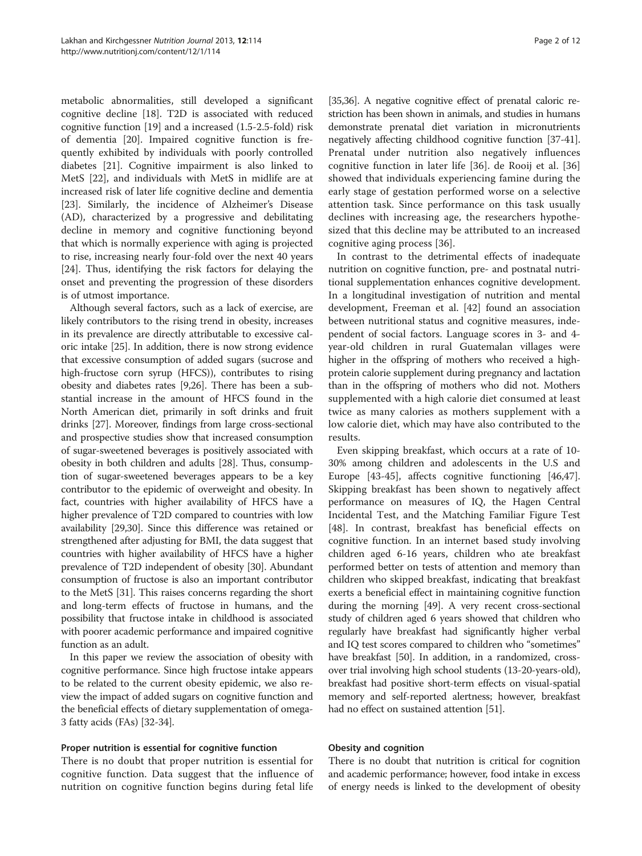metabolic abnormalities, still developed a significant cognitive decline [\[18\]](#page-8-0). T2D is associated with reduced cognitive function [[19\]](#page-8-0) and a increased (1.5-2.5-fold) risk of dementia [\[20](#page-8-0)]. Impaired cognitive function is frequently exhibited by individuals with poorly controlled diabetes [[21](#page-8-0)]. Cognitive impairment is also linked to MetS [[22\]](#page-8-0), and individuals with MetS in midlife are at increased risk of later life cognitive decline and dementia [[23\]](#page-8-0). Similarly, the incidence of Alzheimer's Disease (AD), characterized by a progressive and debilitating decline in memory and cognitive functioning beyond that which is normally experience with aging is projected to rise, increasing nearly four-fold over the next 40 years [[24\]](#page-8-0). Thus, identifying the risk factors for delaying the onset and preventing the progression of these disorders is of utmost importance.

Although several factors, such as a lack of exercise, are likely contributors to the rising trend in obesity, increases in its prevalence are directly attributable to excessive caloric intake [[25\]](#page-8-0). In addition, there is now strong evidence that excessive consumption of added sugars (sucrose and high-fructose corn syrup (HFCS)), contributes to rising obesity and diabetes rates [\[9,26\]](#page-8-0). There has been a substantial increase in the amount of HFCS found in the North American diet, primarily in soft drinks and fruit drinks [\[27\]](#page-8-0). Moreover, findings from large cross-sectional and prospective studies show that increased consumption of sugar-sweetened beverages is positively associated with obesity in both children and adults [[28](#page-8-0)]. Thus, consumption of sugar-sweetened beverages appears to be a key contributor to the epidemic of overweight and obesity. In fact, countries with higher availability of HFCS have a higher prevalence of T2D compared to countries with low availability [\[29,30](#page-8-0)]. Since this difference was retained or strengthened after adjusting for BMI, the data suggest that countries with higher availability of HFCS have a higher prevalence of T2D independent of obesity [\[30\]](#page-8-0). Abundant consumption of fructose is also an important contributor to the MetS [[31](#page-8-0)]. This raises concerns regarding the short and long-term effects of fructose in humans, and the possibility that fructose intake in childhood is associated with poorer academic performance and impaired cognitive function as an adult.

In this paper we review the association of obesity with cognitive performance. Since high fructose intake appears to be related to the current obesity epidemic, we also review the impact of added sugars on cognitive function and the beneficial effects of dietary supplementation of omega-3 fatty acids (FAs) [[32-34\]](#page-8-0).

### Proper nutrition is essential for cognitive function

There is no doubt that proper nutrition is essential for cognitive function. Data suggest that the influence of nutrition on cognitive function begins during fetal life [[35,36\]](#page-8-0). A negative cognitive effect of prenatal caloric restriction has been shown in animals, and studies in humans demonstrate prenatal diet variation in micronutrients negatively affecting childhood cognitive function [[37](#page-8-0)-[41](#page-8-0)]. Prenatal under nutrition also negatively influences cognitive function in later life [\[36](#page-8-0)]. de Rooij et al. [\[36](#page-8-0)] showed that individuals experiencing famine during the early stage of gestation performed worse on a selective attention task. Since performance on this task usually declines with increasing age, the researchers hypothesized that this decline may be attributed to an increased cognitive aging process [[36\]](#page-8-0).

In contrast to the detrimental effects of inadequate nutrition on cognitive function, pre- and postnatal nutritional supplementation enhances cognitive development. In a longitudinal investigation of nutrition and mental development, Freeman et al. [\[42](#page-8-0)] found an association between nutritional status and cognitive measures, independent of social factors. Language scores in 3- and 4 year-old children in rural Guatemalan villages were higher in the offspring of mothers who received a highprotein calorie supplement during pregnancy and lactation than in the offspring of mothers who did not. Mothers supplemented with a high calorie diet consumed at least twice as many calories as mothers supplement with a low calorie diet, which may have also contributed to the results.

Even skipping breakfast, which occurs at a rate of 10- 30% among children and adolescents in the U.S and Europe [[43-](#page-8-0)[45\]](#page-9-0), affects cognitive functioning [\[46,47](#page-9-0)]. Skipping breakfast has been shown to negatively affect performance on measures of IQ, the Hagen Central Incidental Test, and the Matching Familiar Figure Test [[48\]](#page-9-0). In contrast, breakfast has beneficial effects on cognitive function. In an internet based study involving children aged 6-16 years, children who ate breakfast performed better on tests of attention and memory than children who skipped breakfast, indicating that breakfast exerts a beneficial effect in maintaining cognitive function during the morning [\[49](#page-9-0)]. A very recent cross-sectional study of children aged 6 years showed that children who regularly have breakfast had significantly higher verbal and IQ test scores compared to children who "sometimes" have breakfast [\[50\]](#page-9-0). In addition, in a randomized, crossover trial involving high school students (13-20-years-old), breakfast had positive short-term effects on visual-spatial memory and self-reported alertness; however, breakfast had no effect on sustained attention [[51](#page-9-0)].

### Obesity and cognition

There is no doubt that nutrition is critical for cognition and academic performance; however, food intake in excess of energy needs is linked to the development of obesity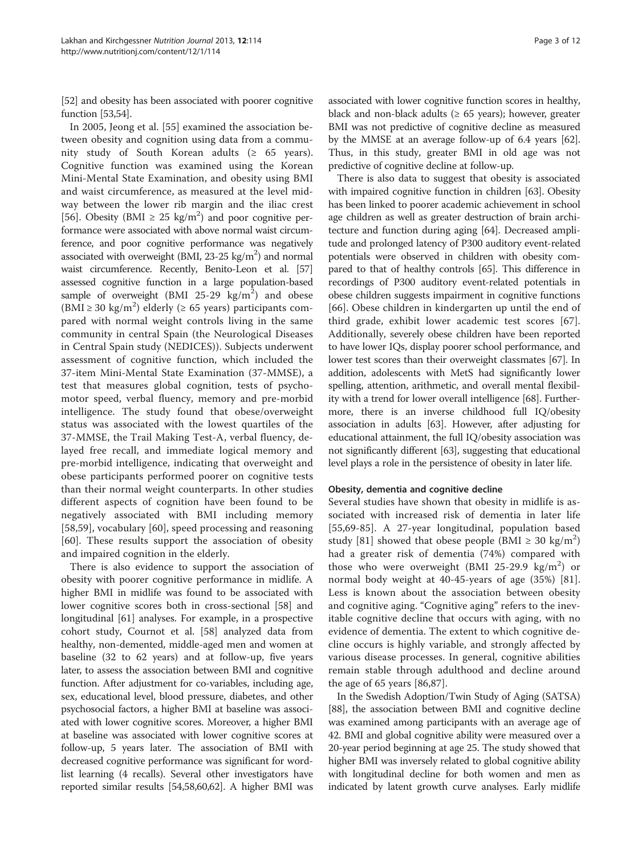[[52](#page-9-0)] and obesity has been associated with poorer cognitive function [[53,54](#page-9-0)].

In 2005, Jeong et al. [[55\]](#page-9-0) examined the association between obesity and cognition using data from a community study of South Korean adults  $(≥ 65 years)$ . Cognitive function was examined using the Korean Mini-Mental State Examination, and obesity using BMI and waist circumference, as measured at the level midway between the lower rib margin and the iliac crest [[56\]](#page-9-0). Obesity (BMI  $\geq$  25 kg/m<sup>2</sup>) and poor cognitive performance were associated with above normal waist circumference, and poor cognitive performance was negatively associated with overweight (BMI,  $23-25$  kg/m<sup>2</sup>) and normal waist circumference. Recently, Benito-Leon et al. [\[57](#page-9-0)] assessed cognitive function in a large population-based sample of overweight (BMI  $25-29$  kg/m<sup>2</sup>) and obese (BMI  $\geq$  30 kg/m<sup>2</sup>) elderly ( $\geq$  65 years) participants compared with normal weight controls living in the same community in central Spain (the Neurological Diseases in Central Spain study (NEDICES)). Subjects underwent assessment of cognitive function, which included the 37-item Mini-Mental State Examination (37-MMSE), a test that measures global cognition, tests of psychomotor speed, verbal fluency, memory and pre-morbid intelligence. The study found that obese/overweight status was associated with the lowest quartiles of the 37-MMSE, the Trail Making Test-A, verbal fluency, delayed free recall, and immediate logical memory and pre-morbid intelligence, indicating that overweight and obese participants performed poorer on cognitive tests than their normal weight counterparts. In other studies different aspects of cognition have been found to be negatively associated with BMI including memory [[58,59](#page-9-0)], vocabulary [\[60](#page-9-0)], speed processing and reasoning [[60\]](#page-9-0). These results support the association of obesity and impaired cognition in the elderly.

There is also evidence to support the association of obesity with poorer cognitive performance in midlife. A higher BMI in midlife was found to be associated with lower cognitive scores both in cross-sectional [\[58\]](#page-9-0) and longitudinal [\[61](#page-9-0)] analyses. For example, in a prospective cohort study, Cournot et al. [\[58\]](#page-9-0) analyzed data from healthy, non-demented, middle-aged men and women at baseline (32 to 62 years) and at follow-up, five years later, to assess the association between BMI and cognitive function. After adjustment for co-variables, including age, sex, educational level, blood pressure, diabetes, and other psychosocial factors, a higher BMI at baseline was associated with lower cognitive scores. Moreover, a higher BMI at baseline was associated with lower cognitive scores at follow-up, 5 years later. The association of BMI with decreased cognitive performance was significant for wordlist learning (4 recalls). Several other investigators have reported similar results [\[54,58,60,62\]](#page-9-0). A higher BMI was associated with lower cognitive function scores in healthy, black and non-black adults ( $\geq 65$  years); however, greater BMI was not predictive of cognitive decline as measured by the MMSE at an average follow-up of 6.4 years [[62](#page-9-0)]. Thus, in this study, greater BMI in old age was not predictive of cognitive decline at follow-up.

There is also data to suggest that obesity is associated with impaired cognitive function in children [\[63\]](#page-9-0). Obesity has been linked to poorer academic achievement in school age children as well as greater destruction of brain architecture and function during aging [[64](#page-9-0)]. Decreased amplitude and prolonged latency of P300 auditory event-related potentials were observed in children with obesity compared to that of healthy controls [\[65\]](#page-9-0). This difference in recordings of P300 auditory event-related potentials in obese children suggests impairment in cognitive functions [[66](#page-9-0)]. Obese children in kindergarten up until the end of third grade, exhibit lower academic test scores [[67](#page-9-0)]. Additionally, severely obese children have been reported to have lower IQs, display poorer school performance, and lower test scores than their overweight classmates [\[67\]](#page-9-0). In addition, adolescents with MetS had significantly lower spelling, attention, arithmetic, and overall mental flexibility with a trend for lower overall intelligence [[68](#page-9-0)]. Furthermore, there is an inverse childhood full IQ/obesity association in adults [\[63\]](#page-9-0). However, after adjusting for educational attainment, the full IQ/obesity association was not significantly different [[63](#page-9-0)], suggesting that educational level plays a role in the persistence of obesity in later life.

# Obesity, dementia and cognitive decline

Several studies have shown that obesity in midlife is associated with increased risk of dementia in later life [[55,69](#page-9-0)-[85\]](#page-9-0). A 27-year longitudinal, population based study [[81\]](#page-9-0) showed that obese people (BMI  $\geq 30 \text{ kg/m}^2$ ) had a greater risk of dementia (74%) compared with those who were overweight (BMI 25-29.9  $\text{kg/m}^2$ ) or normal body weight at 40-45-years of age (35%) [\[81](#page-9-0)]. Less is known about the association between obesity and cognitive aging. "Cognitive aging" refers to the inevitable cognitive decline that occurs with aging, with no evidence of dementia. The extent to which cognitive decline occurs is highly variable, and strongly affected by various disease processes. In general, cognitive abilities remain stable through adulthood and decline around the age of 65 years [[86,87\]](#page-9-0).

In the Swedish Adoption/Twin Study of Aging (SATSA) [[88](#page-9-0)], the association between BMI and cognitive decline was examined among participants with an average age of 42. BMI and global cognitive ability were measured over a 20-year period beginning at age 25. The study showed that higher BMI was inversely related to global cognitive ability with longitudinal decline for both women and men as indicated by latent growth curve analyses. Early midlife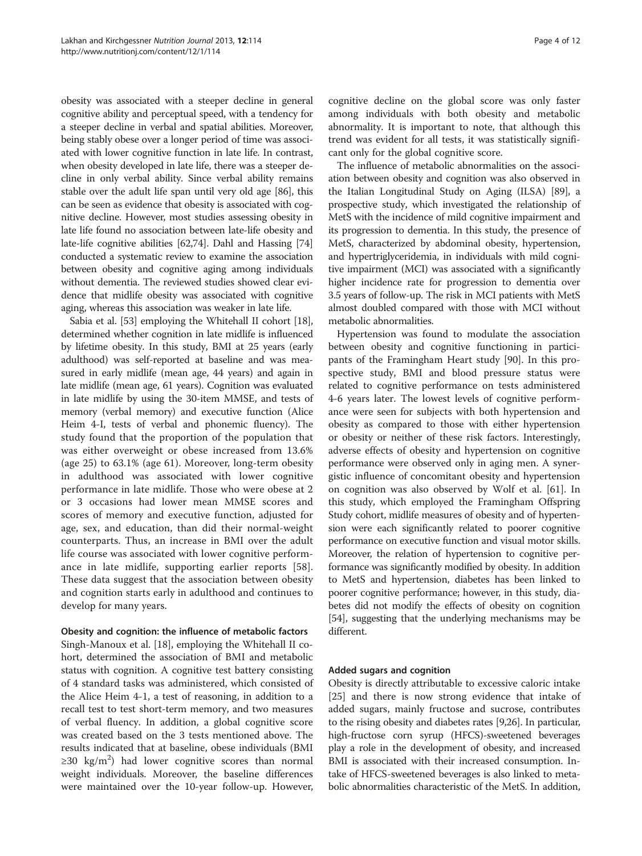obesity was associated with a steeper decline in general cognitive ability and perceptual speed, with a tendency for a steeper decline in verbal and spatial abilities. Moreover, being stably obese over a longer period of time was associated with lower cognitive function in late life. In contrast, when obesity developed in late life, there was a steeper decline in only verbal ability. Since verbal ability remains stable over the adult life span until very old age [[86](#page-9-0)], this can be seen as evidence that obesity is associated with cognitive decline. However, most studies assessing obesity in late life found no association between late-life obesity and late-life cognitive abilities [\[62,74\]](#page-9-0). Dahl and Hassing [[74](#page-9-0)] conducted a systematic review to examine the association between obesity and cognitive aging among individuals without dementia. The reviewed studies showed clear evidence that midlife obesity was associated with cognitive aging, whereas this association was weaker in late life.

Sabia et al. [[53](#page-9-0)] employing the Whitehall II cohort [[18](#page-8-0)], determined whether cognition in late midlife is influenced by lifetime obesity. In this study, BMI at 25 years (early adulthood) was self-reported at baseline and was measured in early midlife (mean age, 44 years) and again in late midlife (mean age, 61 years). Cognition was evaluated in late midlife by using the 30-item MMSE, and tests of memory (verbal memory) and executive function (Alice Heim 4-I, tests of verbal and phonemic fluency). The study found that the proportion of the population that was either overweight or obese increased from 13.6% (age 25) to 63.1% (age 61). Moreover, long-term obesity in adulthood was associated with lower cognitive performance in late midlife. Those who were obese at 2 or 3 occasions had lower mean MMSE scores and scores of memory and executive function, adjusted for age, sex, and education, than did their normal-weight counterparts. Thus, an increase in BMI over the adult life course was associated with lower cognitive performance in late midlife, supporting earlier reports [[58](#page-9-0)]. These data suggest that the association between obesity and cognition starts early in adulthood and continues to develop for many years.

# Obesity and cognition: the influence of metabolic factors

Singh-Manoux et al. [[18\]](#page-8-0), employing the Whitehall II cohort, determined the association of BMI and metabolic status with cognition. A cognitive test battery consisting of 4 standard tasks was administered, which consisted of the Alice Heim 4-1, a test of reasoning, in addition to a recall test to test short-term memory, and two measures of verbal fluency. In addition, a global cognitive score was created based on the 3 tests mentioned above. The results indicated that at baseline, obese individuals (BMI  $\geq$ 30 kg/m<sup>2</sup>) had lower cognitive scores than normal weight individuals. Moreover, the baseline differences were maintained over the 10-year follow-up. However, cognitive decline on the global score was only faster among individuals with both obesity and metabolic abnormality. It is important to note, that although this trend was evident for all tests, it was statistically significant only for the global cognitive score.

The influence of metabolic abnormalities on the association between obesity and cognition was also observed in the Italian Longitudinal Study on Aging (ILSA) [\[89](#page-9-0)], a prospective study, which investigated the relationship of MetS with the incidence of mild cognitive impairment and its progression to dementia. In this study, the presence of MetS, characterized by abdominal obesity, hypertension, and hypertriglyceridemia, in individuals with mild cognitive impairment (MCI) was associated with a significantly higher incidence rate for progression to dementia over 3.5 years of follow-up. The risk in MCI patients with MetS almost doubled compared with those with MCI without metabolic abnormalities.

Hypertension was found to modulate the association between obesity and cognitive functioning in participants of the Framingham Heart study [[90\]](#page-9-0). In this prospective study, BMI and blood pressure status were related to cognitive performance on tests administered 4-6 years later. The lowest levels of cognitive performance were seen for subjects with both hypertension and obesity as compared to those with either hypertension or obesity or neither of these risk factors. Interestingly, adverse effects of obesity and hypertension on cognitive performance were observed only in aging men. A synergistic influence of concomitant obesity and hypertension on cognition was also observed by Wolf et al. [\[61](#page-9-0)]. In this study, which employed the Framingham Offspring Study cohort, midlife measures of obesity and of hypertension were each significantly related to poorer cognitive performance on executive function and visual motor skills. Moreover, the relation of hypertension to cognitive performance was significantly modified by obesity. In addition to MetS and hypertension, diabetes has been linked to poorer cognitive performance; however, in this study, diabetes did not modify the effects of obesity on cognition [[54](#page-9-0)], suggesting that the underlying mechanisms may be different.

# Added sugars and cognition

Obesity is directly attributable to excessive caloric intake [[25\]](#page-8-0) and there is now strong evidence that intake of added sugars, mainly fructose and sucrose, contributes to the rising obesity and diabetes rates [\[9,26\]](#page-8-0). In particular, high-fructose corn syrup (HFCS)-sweetened beverages play a role in the development of obesity, and increased BMI is associated with their increased consumption. Intake of HFCS-sweetened beverages is also linked to metabolic abnormalities characteristic of the MetS. In addition,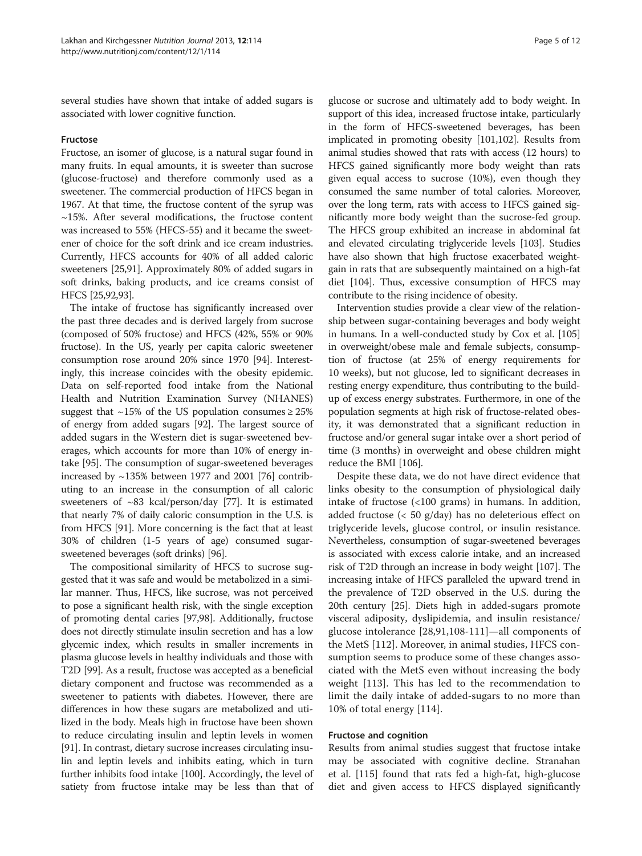several studies have shown that intake of added sugars is associated with lower cognitive function.

### Fructose

Fructose, an isomer of glucose, is a natural sugar found in many fruits. In equal amounts, it is sweeter than sucrose (glucose-fructose) and therefore commonly used as a sweetener. The commercial production of HFCS began in 1967. At that time, the fructose content of the syrup was  $\sim$ 15%. After several modifications, the fructose content was increased to 55% (HFCS-55) and it became the sweetener of choice for the soft drink and ice cream industries. Currently, HFCS accounts for 40% of all added caloric sweeteners [\[25,](#page-8-0)[91](#page-9-0)]. Approximately 80% of added sugars in soft drinks, baking products, and ice creams consist of HFCS [\[25](#page-8-0)[,92,93](#page-9-0)].

The intake of fructose has significantly increased over the past three decades and is derived largely from sucrose (composed of 50% fructose) and HFCS (42%, 55% or 90% fructose). In the US, yearly per capita caloric sweetener consumption rose around 20% since 1970 [[94](#page-9-0)]. Interestingly, this increase coincides with the obesity epidemic. Data on self-reported food intake from the National Health and Nutrition Examination Survey (NHANES) suggest that  $~15\%$  of the US population consumes  $\geq 25\%$ of energy from added sugars [\[92\]](#page-9-0). The largest source of added sugars in the Western diet is sugar-sweetened beverages, which accounts for more than 10% of energy intake [\[95](#page-9-0)]. The consumption of sugar-sweetened beverages increased by ~135% between 1977 and 2001 [\[76](#page-9-0)] contributing to an increase in the consumption of all caloric sweeteners of ~83 kcal/person/day [\[77\]](#page-9-0). It is estimated that nearly 7% of daily caloric consumption in the U.S. is from HFCS [[91](#page-9-0)]. More concerning is the fact that at least 30% of children (1-5 years of age) consumed sugarsweetened beverages (soft drinks) [[96](#page-10-0)].

The compositional similarity of HFCS to sucrose suggested that it was safe and would be metabolized in a similar manner. Thus, HFCS, like sucrose, was not perceived to pose a significant health risk, with the single exception of promoting dental caries [\[97,98](#page-10-0)]. Additionally, fructose does not directly stimulate insulin secretion and has a low glycemic index, which results in smaller increments in plasma glucose levels in healthy individuals and those with T2D [[99](#page-10-0)]. As a result, fructose was accepted as a beneficial dietary component and fructose was recommended as a sweetener to patients with diabetes. However, there are differences in how these sugars are metabolized and utilized in the body. Meals high in fructose have been shown to reduce circulating insulin and leptin levels in women [[91](#page-9-0)]. In contrast, dietary sucrose increases circulating insulin and leptin levels and inhibits eating, which in turn further inhibits food intake [[100](#page-10-0)]. Accordingly, the level of satiety from fructose intake may be less than that of

glucose or sucrose and ultimately add to body weight. In support of this idea, increased fructose intake, particularly in the form of HFCS-sweetened beverages, has been implicated in promoting obesity [\[101,102](#page-10-0)]. Results from animal studies showed that rats with access (12 hours) to HFCS gained significantly more body weight than rats given equal access to sucrose (10%), even though they consumed the same number of total calories. Moreover, over the long term, rats with access to HFCS gained significantly more body weight than the sucrose-fed group. The HFCS group exhibited an increase in abdominal fat and elevated circulating triglyceride levels [[103](#page-10-0)]. Studies have also shown that high fructose exacerbated weightgain in rats that are subsequently maintained on a high-fat diet [\[104](#page-10-0)]. Thus, excessive consumption of HFCS may contribute to the rising incidence of obesity.

Intervention studies provide a clear view of the relationship between sugar-containing beverages and body weight in humans. In a well-conducted study by Cox et al. [\[105](#page-10-0)] in overweight/obese male and female subjects, consumption of fructose (at 25% of energy requirements for 10 weeks), but not glucose, led to significant decreases in resting energy expenditure, thus contributing to the buildup of excess energy substrates. Furthermore, in one of the population segments at high risk of fructose-related obesity, it was demonstrated that a significant reduction in fructose and/or general sugar intake over a short period of time (3 months) in overweight and obese children might reduce the BMI [\[106](#page-10-0)].

Despite these data, we do not have direct evidence that links obesity to the consumption of physiological daily intake of fructose (<100 grams) in humans. In addition, added fructose (< 50 g/day) has no deleterious effect on triglyceride levels, glucose control, or insulin resistance. Nevertheless, consumption of sugar-sweetened beverages is associated with excess calorie intake, and an increased risk of T2D through an increase in body weight [\[107\]](#page-10-0). The increasing intake of HFCS paralleled the upward trend in the prevalence of T2D observed in the U.S. during the 20th century [[25](#page-8-0)]. Diets high in added-sugars promote visceral adiposity, dyslipidemia, and insulin resistance/ glucose intolerance [[28](#page-8-0)[,91](#page-9-0),[108-111](#page-10-0)]—all components of the MetS [[112\]](#page-10-0). Moreover, in animal studies, HFCS consumption seems to produce some of these changes associated with the MetS even without increasing the body weight [\[113](#page-10-0)]. This has led to the recommendation to limit the daily intake of added-sugars to no more than 10% of total energy [\[114](#page-10-0)].

#### Fructose and cognition

Results from animal studies suggest that fructose intake may be associated with cognitive decline. Stranahan et al. [\[115\]](#page-10-0) found that rats fed a high-fat, high-glucose diet and given access to HFCS displayed significantly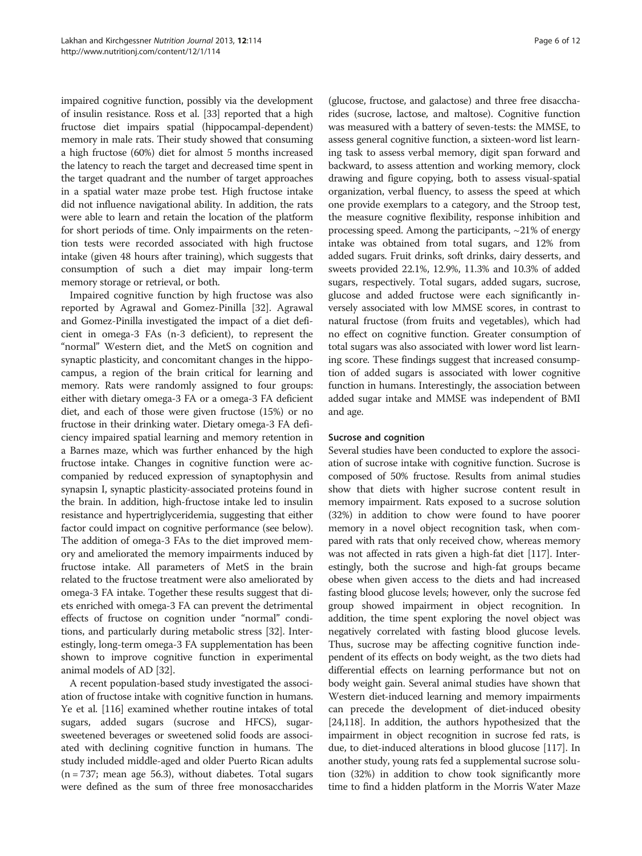impaired cognitive function, possibly via the development of insulin resistance. Ross et al. [[33](#page-8-0)] reported that a high fructose diet impairs spatial (hippocampal-dependent) memory in male rats. Their study showed that consuming a high fructose (60%) diet for almost 5 months increased the latency to reach the target and decreased time spent in the target quadrant and the number of target approaches in a spatial water maze probe test. High fructose intake did not influence navigational ability. In addition, the rats were able to learn and retain the location of the platform for short periods of time. Only impairments on the retention tests were recorded associated with high fructose intake (given 48 hours after training), which suggests that consumption of such a diet may impair long-term memory storage or retrieval, or both.

Impaired cognitive function by high fructose was also reported by Agrawal and Gomez-Pinilla [[32\]](#page-8-0). Agrawal and Gomez-Pinilla investigated the impact of a diet deficient in omega-3 FAs (n-3 deficient), to represent the "normal" Western diet, and the MetS on cognition and synaptic plasticity, and concomitant changes in the hippocampus, a region of the brain critical for learning and memory. Rats were randomly assigned to four groups: either with dietary omega-3 FA or a omega-3 FA deficient diet, and each of those were given fructose (15%) or no fructose in their drinking water. Dietary omega-3 FA deficiency impaired spatial learning and memory retention in a Barnes maze, which was further enhanced by the high fructose intake. Changes in cognitive function were accompanied by reduced expression of synaptophysin and synapsin I, synaptic plasticity-associated proteins found in the brain. In addition, high-fructose intake led to insulin resistance and hypertriglyceridemia, suggesting that either factor could impact on cognitive performance (see below). The addition of omega-3 FAs to the diet improved memory and ameliorated the memory impairments induced by fructose intake. All parameters of MetS in the brain related to the fructose treatment were also ameliorated by omega-3 FA intake. Together these results suggest that diets enriched with omega-3 FA can prevent the detrimental effects of fructose on cognition under "normal" conditions, and particularly during metabolic stress [[32](#page-8-0)]. Interestingly, long-term omega-3 FA supplementation has been shown to improve cognitive function in experimental animal models of AD [[32](#page-8-0)].

A recent population-based study investigated the association of fructose intake with cognitive function in humans. Ye et al. [\[116\]](#page-10-0) examined whether routine intakes of total sugars, added sugars (sucrose and HFCS), sugarsweetened beverages or sweetened solid foods are associated with declining cognitive function in humans. The study included middle-aged and older Puerto Rican adults  $(n = 737;$  mean age 56.3), without diabetes. Total sugars were defined as the sum of three free monosaccharides

(glucose, fructose, and galactose) and three free disaccharides (sucrose, lactose, and maltose). Cognitive function was measured with a battery of seven-tests: the MMSE, to assess general cognitive function, a sixteen-word list learning task to assess verbal memory, digit span forward and backward, to assess attention and working memory, clock drawing and figure copying, both to assess visual-spatial organization, verbal fluency, to assess the speed at which one provide exemplars to a category, and the Stroop test, the measure cognitive flexibility, response inhibition and processing speed. Among the participants,  $\sim$ 21% of energy intake was obtained from total sugars, and 12% from added sugars. Fruit drinks, soft drinks, dairy desserts, and sweets provided 22.1%, 12.9%, 11.3% and 10.3% of added sugars, respectively. Total sugars, added sugars, sucrose, glucose and added fructose were each significantly inversely associated with low MMSE scores, in contrast to natural fructose (from fruits and vegetables), which had no effect on cognitive function. Greater consumption of total sugars was also associated with lower word list learning score. These findings suggest that increased consumption of added sugars is associated with lower cognitive function in humans. Interestingly, the association between added sugar intake and MMSE was independent of BMI and age.

### Sucrose and cognition

Several studies have been conducted to explore the association of sucrose intake with cognitive function. Sucrose is composed of 50% fructose. Results from animal studies show that diets with higher sucrose content result in memory impairment. Rats exposed to a sucrose solution (32%) in addition to chow were found to have poorer memory in a novel object recognition task, when compared with rats that only received chow, whereas memory was not affected in rats given a high-fat diet [[117](#page-10-0)]. Interestingly, both the sucrose and high-fat groups became obese when given access to the diets and had increased fasting blood glucose levels; however, only the sucrose fed group showed impairment in object recognition. In addition, the time spent exploring the novel object was negatively correlated with fasting blood glucose levels. Thus, sucrose may be affecting cognitive function independent of its effects on body weight, as the two diets had differential effects on learning performance but not on body weight gain. Several animal studies have shown that Western diet-induced learning and memory impairments can precede the development of diet-induced obesity [[24](#page-8-0)[,118\]](#page-10-0). In addition, the authors hypothesized that the impairment in object recognition in sucrose fed rats, is due, to diet-induced alterations in blood glucose [\[117\]](#page-10-0). In another study, young rats fed a supplemental sucrose solution (32%) in addition to chow took significantly more time to find a hidden platform in the Morris Water Maze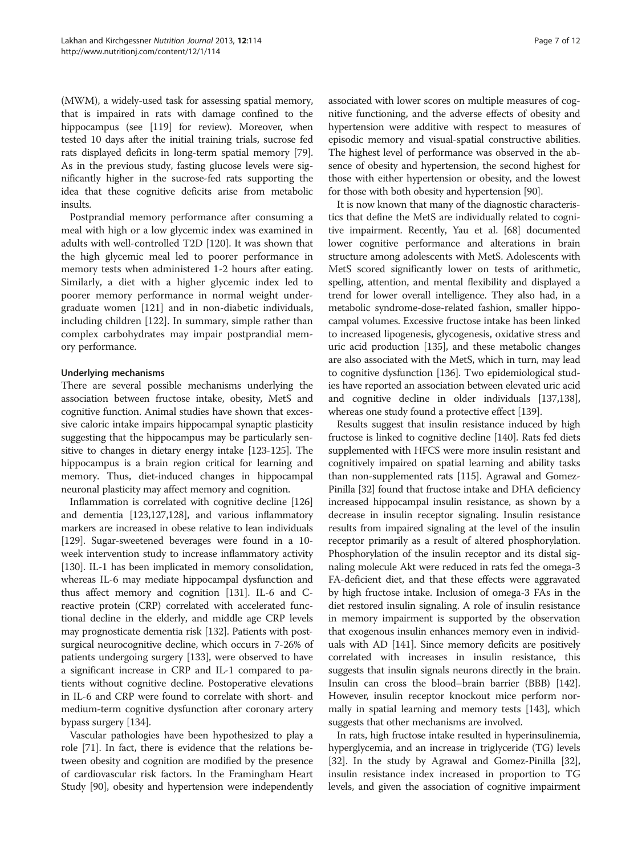(MWM), a widely-used task for assessing spatial memory, that is impaired in rats with damage confined to the hippocampus (see [\[119](#page-10-0)] for review). Moreover, when tested 10 days after the initial training trials, sucrose fed rats displayed deficits in long-term spatial memory [[79](#page-9-0)]. As in the previous study, fasting glucose levels were significantly higher in the sucrose-fed rats supporting the idea that these cognitive deficits arise from metabolic insults.

Postprandial memory performance after consuming a meal with high or a low glycemic index was examined in adults with well-controlled T2D [\[120](#page-10-0)]. It was shown that the high glycemic meal led to poorer performance in memory tests when administered 1-2 hours after eating. Similarly, a diet with a higher glycemic index led to poorer memory performance in normal weight undergraduate women [\[121\]](#page-10-0) and in non-diabetic individuals, including children [\[122](#page-10-0)]. In summary, simple rather than complex carbohydrates may impair postprandial memory performance.

# Underlying mechanisms

There are several possible mechanisms underlying the association between fructose intake, obesity, MetS and cognitive function. Animal studies have shown that excessive caloric intake impairs hippocampal synaptic plasticity suggesting that the hippocampus may be particularly sensitive to changes in dietary energy intake [\[123-125](#page-10-0)]. The hippocampus is a brain region critical for learning and memory. Thus, diet-induced changes in hippocampal neuronal plasticity may affect memory and cognition.

Inflammation is correlated with cognitive decline [\[126](#page-10-0)] and dementia [\[123,127,128\]](#page-10-0), and various inflammatory markers are increased in obese relative to lean individuals [[129](#page-10-0)]. Sugar-sweetened beverages were found in a 10 week intervention study to increase inflammatory activity [[130](#page-10-0)]. IL-1 has been implicated in memory consolidation, whereas IL-6 may mediate hippocampal dysfunction and thus affect memory and cognition [\[131\]](#page-10-0). IL-6 and Creactive protein (CRP) correlated with accelerated functional decline in the elderly, and middle age CRP levels may prognosticate dementia risk [\[132](#page-10-0)]. Patients with postsurgical neurocognitive decline, which occurs in 7-26% of patients undergoing surgery [\[133\]](#page-10-0), were observed to have a significant increase in CRP and IL-1 compared to patients without cognitive decline. Postoperative elevations in IL-6 and CRP were found to correlate with short- and medium-term cognitive dysfunction after coronary artery bypass surgery [[134\]](#page-10-0).

Vascular pathologies have been hypothesized to play a role [\[71\]](#page-9-0). In fact, there is evidence that the relations between obesity and cognition are modified by the presence of cardiovascular risk factors. In the Framingham Heart Study [\[90](#page-9-0)], obesity and hypertension were independently

associated with lower scores on multiple measures of cognitive functioning, and the adverse effects of obesity and hypertension were additive with respect to measures of episodic memory and visual-spatial constructive abilities. The highest level of performance was observed in the absence of obesity and hypertension, the second highest for those with either hypertension or obesity, and the lowest for those with both obesity and hypertension [\[90\]](#page-9-0).

It is now known that many of the diagnostic characteristics that define the MetS are individually related to cognitive impairment. Recently, Yau et al. [\[68](#page-9-0)] documented lower cognitive performance and alterations in brain structure among adolescents with MetS. Adolescents with MetS scored significantly lower on tests of arithmetic, spelling, attention, and mental flexibility and displayed a trend for lower overall intelligence. They also had, in a metabolic syndrome-dose-related fashion, smaller hippocampal volumes. Excessive fructose intake has been linked to increased lipogenesis, glycogenesis, oxidative stress and uric acid production [\[135\]](#page-10-0), and these metabolic changes are also associated with the MetS, which in turn, may lead to cognitive dysfunction [\[136](#page-10-0)]. Two epidemiological studies have reported an association between elevated uric acid and cognitive decline in older individuals [\[137,138](#page-10-0)], whereas one study found a protective effect [[139\]](#page-10-0).

Results suggest that insulin resistance induced by high fructose is linked to cognitive decline [\[140\]](#page-10-0). Rats fed diets supplemented with HFCS were more insulin resistant and cognitively impaired on spatial learning and ability tasks than non-supplemented rats [\[115\]](#page-10-0). Agrawal and Gomez-Pinilla [\[32](#page-8-0)] found that fructose intake and DHA deficiency increased hippocampal insulin resistance, as shown by a decrease in insulin receptor signaling. Insulin resistance results from impaired signaling at the level of the insulin receptor primarily as a result of altered phosphorylation. Phosphorylation of the insulin receptor and its distal signaling molecule Akt were reduced in rats fed the omega-3 FA-deficient diet, and that these effects were aggravated by high fructose intake. Inclusion of omega-3 FAs in the diet restored insulin signaling. A role of insulin resistance in memory impairment is supported by the observation that exogenous insulin enhances memory even in individuals with AD [[141](#page-10-0)]. Since memory deficits are positively correlated with increases in insulin resistance, this suggests that insulin signals neurons directly in the brain. Insulin can cross the blood–brain barrier (BBB) [\[142](#page-10-0)]. However, insulin receptor knockout mice perform normally in spatial learning and memory tests [[143](#page-10-0)], which suggests that other mechanisms are involved.

In rats, high fructose intake resulted in hyperinsulinemia, hyperglycemia, and an increase in triglyceride (TG) levels [[32](#page-8-0)]. In the study by Agrawal and Gomez-Pinilla [[32](#page-8-0)], insulin resistance index increased in proportion to TG levels, and given the association of cognitive impairment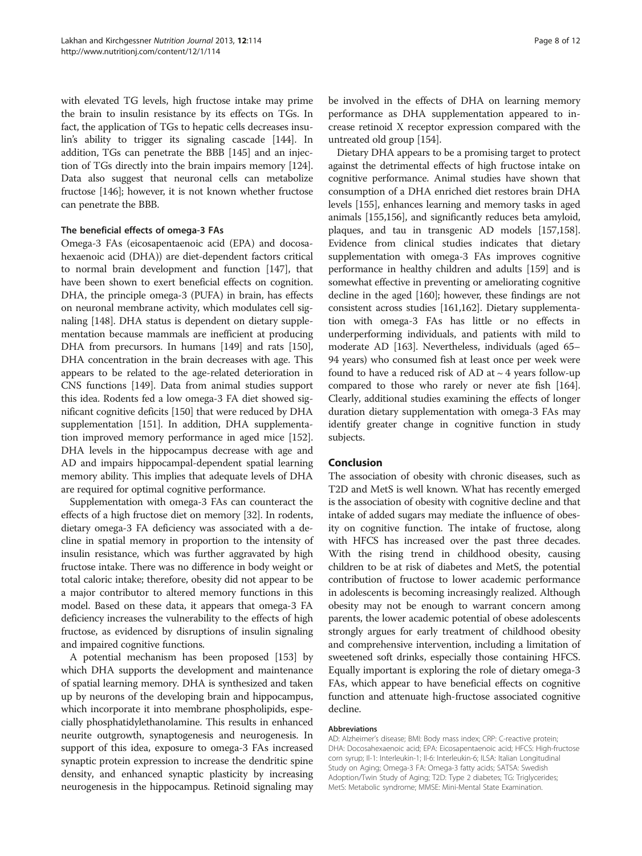with elevated TG levels, high fructose intake may prime the brain to insulin resistance by its effects on TGs. In fact, the application of TGs to hepatic cells decreases insulin's ability to trigger its signaling cascade [[144](#page-10-0)]. In addition, TGs can penetrate the BBB [\[145](#page-10-0)] and an injection of TGs directly into the brain impairs memory [[124](#page-10-0)]. Data also suggest that neuronal cells can metabolize fructose [\[146\]](#page-10-0); however, it is not known whether fructose can penetrate the BBB.

# The beneficial effects of omega-3 FAs

Omega-3 FAs (eicosapentaenoic acid (EPA) and docosahexaenoic acid (DHA)) are diet-dependent factors critical to normal brain development and function [[147](#page-11-0)], that have been shown to exert beneficial effects on cognition. DHA, the principle omega-3 (PUFA) in brain, has effects on neuronal membrane activity, which modulates cell signaling [[148](#page-11-0)]. DHA status is dependent on dietary supplementation because mammals are inefficient at producing DHA from precursors. In humans [[149\]](#page-11-0) and rats [[150](#page-11-0)], DHA concentration in the brain decreases with age. This appears to be related to the age-related deterioration in CNS functions [[149](#page-11-0)]. Data from animal studies support this idea. Rodents fed a low omega-3 FA diet showed significant cognitive deficits [\[150](#page-11-0)] that were reduced by DHA supplementation [[151](#page-11-0)]. In addition, DHA supplementation improved memory performance in aged mice [[152](#page-11-0)]. DHA levels in the hippocampus decrease with age and AD and impairs hippocampal-dependent spatial learning memory ability. This implies that adequate levels of DHA are required for optimal cognitive performance.

Supplementation with omega-3 FAs can counteract the effects of a high fructose diet on memory [[32\]](#page-8-0). In rodents, dietary omega-3 FA deficiency was associated with a decline in spatial memory in proportion to the intensity of insulin resistance, which was further aggravated by high fructose intake. There was no difference in body weight or total caloric intake; therefore, obesity did not appear to be a major contributor to altered memory functions in this model. Based on these data, it appears that omega-3 FA deficiency increases the vulnerability to the effects of high fructose, as evidenced by disruptions of insulin signaling and impaired cognitive functions.

A potential mechanism has been proposed [\[153\]](#page-11-0) by which DHA supports the development and maintenance of spatial learning memory. DHA is synthesized and taken up by neurons of the developing brain and hippocampus, which incorporate it into membrane phospholipids, especially phosphatidylethanolamine. This results in enhanced neurite outgrowth, synaptogenesis and neurogenesis. In support of this idea, exposure to omega-3 FAs increased synaptic protein expression to increase the dendritic spine density, and enhanced synaptic plasticity by increasing neurogenesis in the hippocampus. Retinoid signaling may be involved in the effects of DHA on learning memory performance as DHA supplementation appeared to increase retinoid X receptor expression compared with the untreated old group [\[154\]](#page-11-0).

Dietary DHA appears to be a promising target to protect against the detrimental effects of high fructose intake on cognitive performance. Animal studies have shown that consumption of a DHA enriched diet restores brain DHA levels [[155](#page-11-0)], enhances learning and memory tasks in aged animals [[155,156\]](#page-11-0), and significantly reduces beta amyloid, plaques, and tau in transgenic AD models [\[157,158](#page-11-0)]. Evidence from clinical studies indicates that dietary supplementation with omega-3 FAs improves cognitive performance in healthy children and adults [[159](#page-11-0)] and is somewhat effective in preventing or ameliorating cognitive decline in the aged [[160](#page-11-0)]; however, these findings are not consistent across studies [\[161,162](#page-11-0)]. Dietary supplementation with omega-3 FAs has little or no effects in underperforming individuals, and patients with mild to moderate AD [\[163\]](#page-11-0). Nevertheless, individuals (aged 65– 94 years) who consumed fish at least once per week were found to have a reduced risk of AD at  $\sim$  4 years follow-up compared to those who rarely or never ate fish [\[164](#page-11-0)]. Clearly, additional studies examining the effects of longer duration dietary supplementation with omega-3 FAs may identify greater change in cognitive function in study subjects.

# Conclusion

The association of obesity with chronic diseases, such as T2D and MetS is well known. What has recently emerged is the association of obesity with cognitive decline and that intake of added sugars may mediate the influence of obesity on cognitive function. The intake of fructose, along with HFCS has increased over the past three decades. With the rising trend in childhood obesity, causing children to be at risk of diabetes and MetS, the potential contribution of fructose to lower academic performance in adolescents is becoming increasingly realized. Although obesity may not be enough to warrant concern among parents, the lower academic potential of obese adolescents strongly argues for early treatment of childhood obesity and comprehensive intervention, including a limitation of sweetened soft drinks, especially those containing HFCS. Equally important is exploring the role of dietary omega-3 FAs, which appear to have beneficial effects on cognitive function and attenuate high-fructose associated cognitive decline.

#### Abbreviations

AD: Alzheimer's disease; BMI: Body mass index; CRP: C-reactive protein; DHA: Docosahexaenoic acid; EPA: Eicosapentaenoic acid; HFCS: High-fructose corn syrup; Il-1: Interleukin-1; Il-6: Interleukin-6; ILSA: Italian Longitudinal Study on Aging; Omega-3 FA: Omega-3 fatty acids; SATSA: Swedish Adoption/Twin Study of Aging; T2D: Type 2 diabetes; TG: Triglycerides; MetS: Metabolic syndrome; MMSE: Mini-Mental State Examination.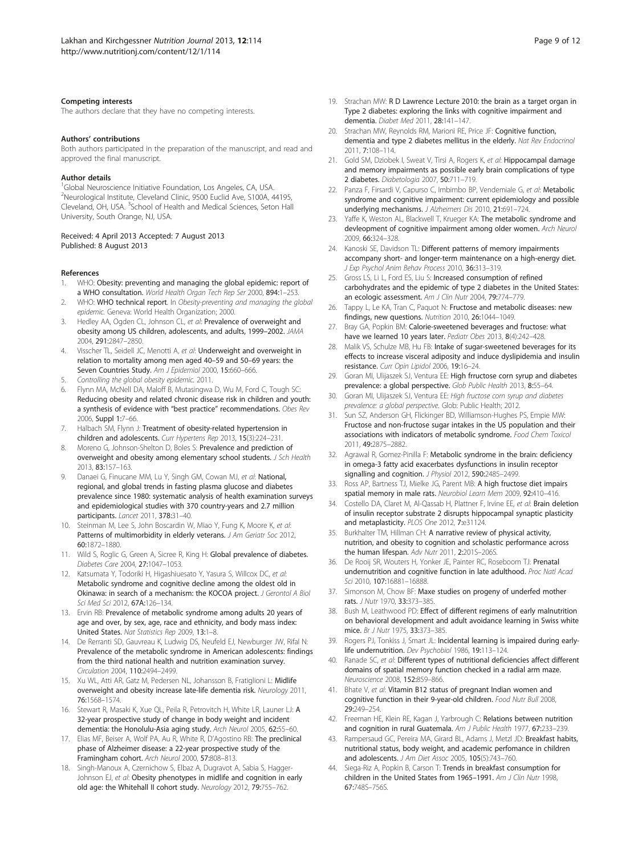#### <span id="page-8-0"></span>Competing interests

The authors declare that they have no competing interests.

#### Authors' contributions

Both authors participated in the preparation of the manuscript, and read and approved the final manuscript.

#### Author details

<sup>1</sup>Global Neuroscience Initiative Foundation, Los Angeles, CA, USA. 2 Neurological Institute, Cleveland Clinic, 9500 Euclid Ave, S100A, 44195, Cleveland, OH, USA. <sup>3</sup>School of Health and Medical Sciences, Seton Hall University, South Orange, NJ, USA.

#### Received: 4 April 2013 Accepted: 7 August 2013 Published: 8 August 2013

#### References

- WHO: Obesity: preventing and managing the global epidemic: report of a WHO consultation. World Health Organ Tech Rep Ser 2000, 894:1–253.
- WHO: WHO technical report. In Obesity-preventing and managing the global epidemic. Geneva: World Health Organization; 2000.
- 3. Hedley AA, Ogden CL, Johnson CL, et al: Prevalence of overweight and obesity among US children, adolescents, and adults, 1999–2002. JAMA 2004, 291:2847–2850.
- Visscher TL, Seidell JC, Menotti A, et al: Underweight and overweight in relation to mortality among men aged 40–59 and 50–69 years: the Seven Countries Study. Am J Epidemiol 2000, 15:660-666.
- 5. Controlling the global obesity epidemic. 2011.
- 6. Flynn MA, McNell DA, Maloff B, Mutasingwa D, Wu M, Ford C, Tough SC: Reducing obesity and related chronic disease risk in children and youth: a synthesis of evidence with "best practice" recommendations. Obes Rev 2006, Suppl 1:7–66.
- 7. Halbach SM, Flynn J: Treatment of obesity-related hypertension in children and adolescents. Curr Hypertens Rep 2013, 15(3):224–231.
- Moreno G, Johnson-Shelton D, Boles S: Prevalence and prediction of overweight and obesity among elementary school students. J Sch Health 2013, 83:157–163.
- Danaei G, Finucane MM, Lu Y, Singh GM, Cowan MJ, et al: National, regional, and global trends in fasting plasma glucose and diabetes prevalence since 1980: systematic analysis of health examination surveys and epidemiological studies with 370 country-years and 2.7 million participants. Lancet 2011, 378:31–40.
- 10. Steinman M, Lee S, John Boscardin W, Miao Y, Fung K, Moore K, et al: Patterns of multimorbidity in elderly veterans. J Am Geriatr Soc 2012, 60:1872–1880.
- 11. Wild S, Roglic G, Green A, Sicree R, King H: Global prevalence of diabetes. Diabetes Care 2004, 27:1047–1053.
- 12. Katsumata Y, Todoriki H, Higashiuesato Y, Yasura S, Willcox DC, et al: Metabolic syndrome and cognitive decline among the oldest old in Okinawa: in search of a mechanism: the KOCOA project. J Gerontol A Biol Sci Med Sci 2012, 67A:126–134.
- 13. Ervin RB: Prevalence of metabolic syndrome among adults 20 years of age and over, by sex, age, race and ethnicity, and body mass index: United States. Nat Statistics Rep 2009, 13:1–8.
- 14. De Rerranti SD, Gauvreau K, Ludwig DS, Neufeld EJ, Newburger JW, Rifal N: Prevalence of the metabolic syndrome in American adolescents: findings from the third national health and nutrition examination survey. Circulation 2004, 110:2494–2499.
- 15. Xu WL, Atti AR, Gatz M, Pedersen NL, Johansson B, Fratiglioni L: Midlife overweight and obesity increase late-life dementia risk. Neurology 2011, 76:1568–1574.
- 16. Stewart R, Masaki K, Xue QL, Peila R, Petrovitch H, White LR, Launer LJ: A 32-year prospective study of change in body weight and incident dementia: the Honolulu-Asia aging study. Arch Neurol 2005, 62:55–60.
- 17. Elias MF, Beiser A, Wolf PA, Au R, White R, D'Agostino RB: The preclinical phase of Alzheimer disease: a 22-year prospective study of the Framingham cohort. Arch Neurol 2000, 57:808–813.
- 18. Singh-Manoux A, Czernichow S, Elbaz A, Dugravot A, Sabia S, Hagger-Johnson EJ, et al: Obesity phenotypes in midlife and cognition in early old age: the Whitehall II cohort study. Neurology 2012, 79:755–762.
- 19. Strachan MW: R D Lawrence Lecture 2010: the brain as a target organ in Type 2 diabetes: exploring the links with cognitive impairment and dementia. Diabet Med 2011, 28:141–147.
- 20. Strachan MW, Reynolds RM, Marioni RE, Price JF: Cognitive function, dementia and type 2 diabetes mellitus in the elderly. Nat Rev Endocrinol 2011, 7:108–114.
- 21. Gold SM, Dziobek I, Sweat V, Tirsi A, Rogers K, et al: Hippocampal damage and memory impairments as possible early brain complications of type 2 diabetes. Diabetologia 2007, 50:711–719.
- 22. Panza F, Firsardi V, Capurso C, Imbimbo BP, Vendemiale G, et al: Metabolic syndrome and cognitive impairment: current epidemiology and possible underlying mechanisms. J Alzheimers Dis 2010, 21:691–724.
- 23. Yaffe K, Weston AL, Blackwell T, Krueger KA: The metabolic syndrome and devleopment of cognitive impairment among older women. Arch Neurol 2009, 66:324–328.
- 24. Kanoski SE, Davidson TL: Different patterns of memory impairments accompany short- and longer-term maintenance on a high-energy diet. J Exp Psychol Anim Behav Process 2010, 36:313-319.
- 25. Gross LS, Li L, Ford ES, Liu S: Increased consumption of refined carbohydrates and the epidemic of type 2 diabetes in the United States: an ecologic assessment. Am J Clin Nutr 2004, 79:774-779.
- 26. Tappy L, Le KA, Tran C, Paquot N: Fructose and metabolic diseases: new findings, new questions. Nutrition 2010, 26:1044-1049.
- 27. Bray GA, Popkin BM: Calorie-sweetened beverages and fructose: what have we learned 10 years later. Pediatr Obes 2013, 8(4):242-428.
- 28. Malik VS, Schulze MB, Hu FB: Intake of sugar-sweetened beverages for its effects to increase visceral adiposity and induce dyslipidemia and insulin resistance. Curr Opin Lipidol 2006, 19:16–24.
- 29. Goran MI, Ulijaszek SJ, Ventura EE: High frructose corn syrup and diabetes prevalence: a global perspective. Glob Public Health 2013, 8:55-64.
- 30. Goran MI, Ulijaszek SJ, Ventura EE: High fructose corn syrup and diabetes prevalence: a global perspective. Glob: Public Health; 2012.
- 31. Sun SZ, Anderson GH, Flickinger BD, Williamson-Hughes PS, Empie MW: Fructose and non-fructose sugar intakes in the US population and their associations with indicators of metabolic syndrome. Food Chem Toxicol 2011, 49:2875–2882.
- 32. Agrawal R, Gomez-Pinilla F: Metabolic syndrome in the brain: deficiency in omega-3 fatty acid exacerbates dysfunctions in insulin receptor signalling and cognition. J Physiol 2012, 590:2485-2499.
- 33. Ross AP, Bartness TJ, Mielke JG, Parent MB: A high fructose diet impairs spatial memory in male rats. Neurobiol Learn Mem 2009, 92:410–416.
- 34. Costello DA, Claret M, Al-Qassab H, Plattner F, Irvine EE, et al: Brain deletion of insulin receptor substrate 2 disrupts hippocampal synaptic plasticity and metaplasticity. PLOS One 2012, 7:e31124.
- Burkhalter TM, Hillman CH: A narrative review of physical activity, nutrition, and obesity to cognition and scholastic performance across the human lifespan. Adv Nutr 2011, 2:201S–206S.
- 36. De Rooij SR, Wouters H, Yonker JE, Painter RC, Roseboom TJ: Prenatal undernutrition and cognitive function in late adulthood. Proc Natl Acad Sci 2010, 107:16881-16888.
- 37. Simonson M, Chow BF: Maxe studies on progeny of underfed mother rats. J Nutr 1970, 33:373–385.
- 38. Bush M, Leathwood PD: Effect of different regimens of early malnutrition on behavioral development and adult avoidance learning in Swiss white mice. Br J Nutr 1975, 33:373–385.
- 39. Rogers PJ, Tonkiss J, Smart JL: Incidental learning is impaired during earlylife undernutrition. Dev Psychobiol 1986, 19:113–124.
- 40. Ranade SC, et al: Different types of nutritional deficiencies affect different domains of spatial memory function checked in a radial arm maze. Neuroscience 2008, 152:859–866.
- 41. Bhate V, et al: Vitamin B12 status of pregnant Indian women and cognitive function in their 9-year-old children. Food Nutr Bull 2008, 29:249–254.
- 42. Freeman HE, Klein RE, Kagan J, Yarbrough C: Relations between nutrition and cognition in rural Guatemala. Am J Public Health 1977, 67:233-239.
- 43. Rampersaud GC, Pereira MA, Girard BL, Adams J, Metzl JD: Breakfast habits, nutritional status, body weight, and academic perfomance in children and adolescents. J Am Diet Assoc 2005, 105(5):743-760.
- 44. Siega-Riz A, Popkin B, Carson T: Trends in breakfast consumption for children in the United States from 1965-1991. Am J Clin Nutr 1998, 67:748S–756S.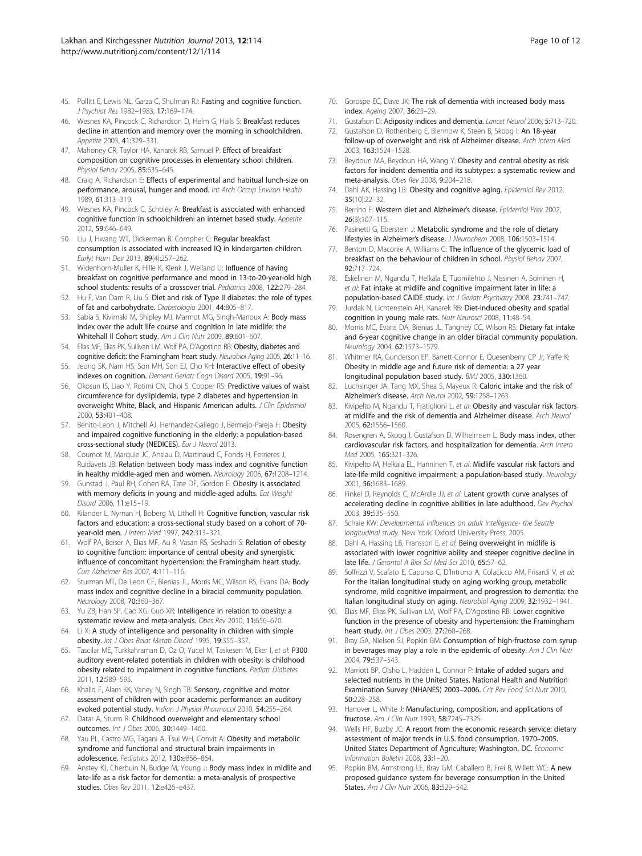- <span id="page-9-0"></span>45. Pollitt E, Lewis NL, Garza C, Shulman RJ: Fasting and cognitive function. J Psychiat Res 1982–1983, 17:169–174.
- 46. Wesnes KA, Pincock C, Richardson D, Helm G, Hails S: Breakfast reduces decline in attention and memory over the morning in schoolchildren. Appetite 2003, 41:329–331.
- 47. Mahoney CR, Taylor HA, Kanarek RB, Samuel P: Effect of breakfast composition on cognitive processes in elementary school children. Physiol Behav 2005, 85:635–645.
- 48. Craig A, Richardson E: Effects of experimental and habitual lunch-size on performance, arousal, hunger and mood. Int Arch Occup Environ Health 1989, 61:313–319.
- 49. Wesnes KA, Pincock C, Scholey A: Breakfast is associated with enhanced cognitive function in schoolchildren: an internet based study. Appetite 2012, 59:646–649.
- 50. Liu J, Hwang WT, Dickerman B, Compher C: Regular breakfast consumption is associated with increased IQ in kindergarten children. Earlyt Hum Dev 2013, 89(4):257–262.
- 51. Widenhorn-Muller K, Hille K, Klenk J, Weiland U: Influence of having breakfast on cognitive performance and mood in 13-to-20-year-old high school students: results of a crossover trial. Pediatrics 2008, 122:279–284.
- 52. Hu F, Van Dam R, Liu S: Diet and risk of Type II diabetes: the role of types of fat and carbohydrate. Diabetologia 2001, 44:805–817.
- 53. Sabia S, Kivimaki M, Shipley MJ, Marmot MG, Singh-Manoux A: Body mass index over the adult life course and cognition in late midlife: the Whitehall II Cohort study. Am J Clin Nutr 2009, 89:601-607.
- 54. Elias MF, Elias PK, Sullivan LM, Wolf PA, D'Agostino RB: Obesity, diabetes and cognitive deficit: the Framingham heart study. Neurobiol Aging 2005, 26:11–16.
- 55. Jeong SK, Nam HS, Son MH, Son EJ, Cho KH: Interactive effect of obesity indexes on cognition. Dement Geriatr Cogn Disord 2005, 19:91–96.
- 56. Okosun IS, Liao Y, Rotimi CN, Choi S, Cooper RS: Predictive values of waist circumference for dyslipidemia, type 2 diabetes and hypertension in overweight White, Black, and Hispanic American adults. *J Clin Epidemiol* 2000, 53:401–408.
- 57. Benito-Leon J, Mitchell AJ, Hernandez-Gallego J, Bermejo-Pareja F: Obesity and impaired cognitive functioning in the elderly: a population-based cross-sectional study (NEDICES). Eur J Neurol 2013.
- 58. Cournot M, Marquie JC, Ansiau D, Martinaud C, Fonds H, Ferrieres J, Ruidavets JB: Relation between body mass index and cognitive function in healthy middle-aged men and women. Neurology 2006, 67:1208–1214.
- 59. Gunstad J, Paul RH, Cohen RA, Tate DF, Gordon E: Obesity is associated with memory deficits in young and middle-aged adults. Eat Weight Disord 2006, 11:e15–19.
- 60. Kilander L, Nyman H, Boberg M, Lithell H: Cognitive function, vascular risk factors and education: a cross-sectional study based on a cohort of 70 year-old men. J Intern Med 1997, 242:313–321.
- 61. Wolf PA, Beiser A, Elias MF, Au R, Vasan RS, Seshadri S: Relation of obesity to cognitive function: importance of central obesity and synergistic influence of concomitant hypertension: the Framingham heart study. Curr Alzheimer Res 2007, 4:111–116.
- 62. Sturman MT, De Leon CF, Bienias JL, Morris MC, Wilson RS, Evans DA: Body mass index and cognitive decline in a biracial community population. Neurology 2008, 70:360–367.
- 63. Yu ZB, Han SP, Cao XG, Guo XR: Intelligence in relation to obesity: a systematic review and meta-analysis. Obes Rev 2010, 11:656–670.
- 64. Li X: A study of intelligence and personality in children with simple obesity. Int J Obes Relat Metab Disord 1995, 19:355–357.
- 65. Tascilar ME, Turkkahraman D, Oz O, Yucel M, Taskesen M, Eker I, et al: P300 auditory event-related potentials in children with obesity: is childhood obesity related to impairment in cognitive functions. Pediatr Diabetes 2011, 12:589–595.
- 66. Khaliq F, Alam KK, Vaney N, Singh TB: Sensory, cognitive and motor assessment of children with poor academic performance: an auditory evoked potential study. Indian J Physiol Pharmacol 2010, 54:255–264.
- 67. Datar A, Sturm R: Childhood overweight and elementary school outcomes. Int J Obes 2006, 30:1449–1460.
- 68. Yau PL, Castro MG, Tagani A, Tsui WH, Convit A: Obesity and metabolic syndrome and functional and structural brain impairments in adolescence. Pediatrics 2012, 130:e856–864.
- 69. Anstey KJ, Cherbuin N, Budge M, Young J: Body mass index in midlife and late-life as a risk factor for dementia: a meta-analysis of prospective studies. Obes Rev 2011, 12:e426–e437.
- 70. Gorospe EC, Dave JK: The risk of dementia with increased body mass index. Ageing 2007, 36:23–29.
- 71. Gustafson D: Adiposity indices and dementia. Lancet Neurol 2006, 5:713-720.
- 72. Gustafson D, Rothenberg E, Blennow K, Steen B, Skoog I: An 18-year follow-up of overweight and risk of Alzheimer disease. Arch Intern Med 2003, 163:1524–1528.
- 73. Beydoun MA, Beydoun HA, Wang Y: Obesity and central obesity as risk factors for incident dementia and its subtypes: a systematic review and meta-analysis. Obes Rev 2008, 9:204–218.
- 74. Dahl AK, Hassing LB: Obesity and cognitive aging. Epidemiol Rev 2012,  $35(10):22-32$
- 75. Berrino F: Western diet and Alzheimer's disease. Epidemiol Prev 2002, 26(3):107–115.
- 76. Pasinetti G, Eberstein J: Metabolic syndrome and the role of dietary lifestyles in Alzheimer's disease. J Neurochem 2008, 106:1503–1514.
- 77. Benton D, Maconie A, Williams C: The influence of the glycemic load of breakfast on the behaviour of children in school. Physiol Behav 2007, 92:717–724.
- 78. Eskelinen M, Ngandu T, Helkala E, Tuomilehto J, Nissinen A, Soininen H, et al: Fat intake at midlife and cognitive impairment later in life: a population-based CAIDE study. Int J Geriatr Psychiatry 2008, 23:741-747.
- Jurdak N, Lichtenstein AH, Kanarek RB: Diet-induced obesity and spatial cognition in young male rats. Nutr Neurosci 2008, 11:48–54.
- 80. Morris MC, Evans DA, Bienias JL, Tangney CC, Wilson RS: Dietary fat intake and 6-year cognitive change in an older biracial community population. Neurology 2004, 62:1573–1579.
- 81. Whitmer RA, Gunderson EP, Barrett-Connor E, Quesenberry CP Jr, Yaffe K: Obesity in middle age and future risk of dementia: a 27 year longitudinal population based study. BMJ 2005, 330:1360.
- 82. Luchsinger JA, Tang MX, Shea S, Mayeux R: Caloric intake and the risk of Alzheimer's disease. Arch Neurol 2002, 59:1258–1263.
- 83. Kivipelto M, Ngandu T, Fratiglioni L, et al: Obesity and vascular risk factors at midlife and the risk of dementia and Alzheimer disease. Arch Neurol 2005, 62:1556–1560.
- 84. Rosengren A, Skoog I, Gustafson D, Wilhelmsen L: Body mass index, other cardiovascular risk factors, and hospitalization for dementia. Arch Intern Med 2005, 165:321–326.
- 85. Kivipelto M, Helkala EL, Hanninen T, et al: Midlife vascular risk factors and late-life mild cognitive impairment: a population-based study. Neurology 2001, 56:1683–1689.
- 86. Finkel D, Reynolds C, McArdle JJ, et al: Latent growth curve analyses of accelerating decline in cognitive abilities in late adulthood. Dev Psychol 2003, 39:535–550.
- 87. Schaie KW: Developmental influences on adult intelligence- the Seattle longitudinal study. New York: Oxford University Press; 2005.
- 88. Dahl A, Hassing LB, Fransson E, et al: Being overweight in midlife is associated with lower cognitive ability and steeper cognitive decline in late life. J Gerontol A Biol Sci Med Sci 2010, 65:57-62.
- 89. Solfrizzi V, Scafato E, Capurso C, D'Introno A, Colacicco AM, Frisardi V, et al: For the Italian longitudinal study on aging working group, metabolic syndrome, mild cognitive impairment, and progression to dementia: the Italian longitudinal study on aging. Neurobiol Aging 2009, 32:1932–1941.
- 90. Elias MF, Elias PK, Sullivan LM, Wolf PA, D'Agostino RB: Lower cognitive function in the presence of obesity and hypertension: the Framingham heart study. Int J Obes 2003, 27:260–268.
- 91. Bray GA, Nielsen SJ, Popkin BM: Consumption of high-fructose corn syrup in beverages may play a role in the epidemic of obesity. Am J Clin Nutr 2004, 79:537–543.
- 92. Marriott BP, Olsho L, Hadden L, Connor P: Intake of added sugars and selected nutrients in the United States, National Health and Nutrition Examination Survey (NHANES) 2003–2006. Crit Rev Food Sci Nutr 2010, 50:228–258.
- 93. Hanover L, White J: Manufacturing, composition, and applications of fructose. Am J Clin Nutr 1993, 58:724S–732S.
- 94. Wells HF, Buzby JC: A report from the economic research service: dietary assessment of major trends in U.S. food consumption, 1970–2005. United States Department of Agriculture; Washington, DC. Economic Information Bulletin 2008, 33:1–20.
- 95. Popkin BM, Armstrong LE, Bray GM, Caballero B, Frei B, Willett WC: A new proposed guidance system for beverage consumption in the United States. Am J Clin Nutr 2006, 83:529-542.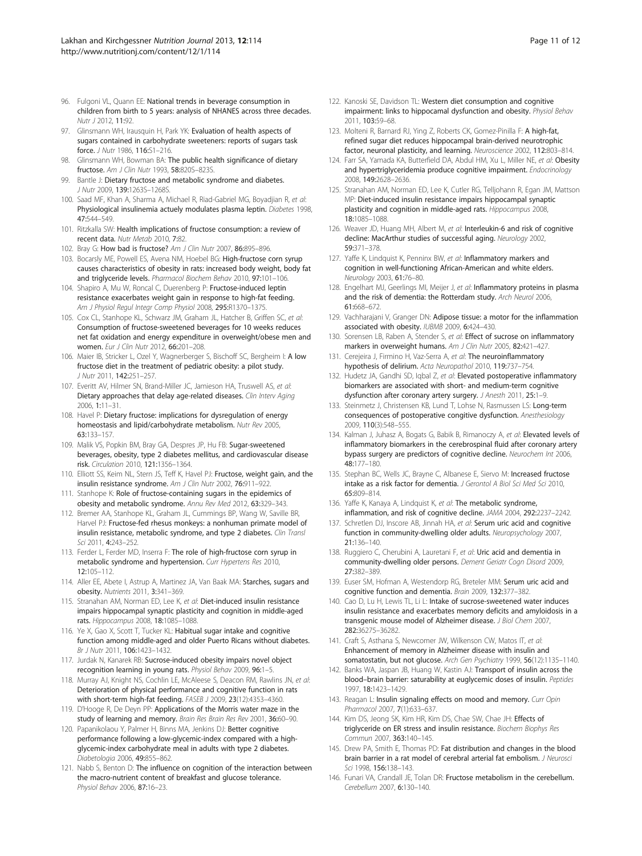- <span id="page-10-0"></span>96. Fulgoni VL, Quann EE: National trends in beverage consumption in children from birth to 5 years: analysis of NHANES across three decades. Nutr 1 2012 11:92
- 97. Glinsmann WH, Irausquin H, Park YK: Evaluation of health aspects of sugars contained in carbohydrate sweeteners: reports of sugars task force. J Nutr 1986, 116:S1–216.
- 98. Glinsmann WH, Bowman BA: The public health significance of dietary fructose. Am J Clin Nutr 1993, 58:820S–823S.
- 99. Bantle J: Dietary fructose and metabolic syndrome and diabetes. J Nutr 2009, 139:1263S–1268S.
- 100. Saad MF, Khan A, Sharma A, Michael R, Riad-Gabriel MG, Boyadjian R, et al: Physiological insulinemia actuely modulates plasma leptin. Diabetes 1998, 47:544–549.
- 101. Ritzkalla SW: Health implications of fructose consumption: a review of recent data. Nutr Metab 2010, 7:82.
- 102. Bray G: How bad is fructose? Am J Clin Nutr 2007, 86:895-896.
- 103. Bocarsly ME, Powell ES, Avena NM, Hoebel BG: High-fructose corn syrup causes characteristics of obesity in rats: increased body weight, body fat and triglyceride levels. Pharmacol Biochem Behav 2010, 97:101–106.
- 104. Shapiro A, Mu W, Roncal C, Duerenberg P: Fructose-induced leptin resistance exacerbates weight gain in response to high-fat feeding. Am J Physiol Regul Integr Comp Physiol 2008, 295:R1370-1375.
- 105. Cox CL, Stanhope KL, Schwarz JM, Graham JL, Hatcher B, Griffen SC, et al: Consumption of fructose-sweetened beverages for 10 weeks reduces net fat oxidation and energy expenditure in overweight/obese men and women. Eur J Clin Nutr 2012, 66:201–208.
- 106. Maier IB, Stricker L, Ozel Y, Wagnerberger S, Bischoff SC, Bergheim I: A low fructose diet in the treatment of pediatric obesity: a pilot study. J Nutr 2011, 142:251–257.
- 107. Everitt AV, Hilmer SN, Brand-Miller JC, Jamieson HA, Truswell AS, et al: Dietary approaches that delay age-related diseases. Clin Interv Aging 2006, 1:11–31.
- 108. Havel P: Dietary fructose: implications for dysregulation of energy homeostasis and lipid/carbohydrate metabolism. Nutr Rev 2005, 63:133–157.
- 109. Malik VS, Popkin BM, Bray GA, Despres JP, Hu FB: Sugar-sweetened beverages, obesity, type 2 diabetes mellitus, and cardiovascular disease risk. Circulation 2010, 121:1356–1364.
- 110. Elliott SS, Keim NL, Stern JS, Teff K, Havel PJ: Fructose, weight gain, and the insulin resistance syndrome. Am J Clin Nutr 2002, 76:911–922.
- 111. Stanhope K: Role of fructose-containing sugars in the epidemics of obesity and metabolic syndrome. Annu Rev Med 2012, 63:329–343.
- 112. Bremer AA, Stanhope KL, Graham JL, Cummings BP, Wang W, Saville BR, Harvel PJ: Fructose-fed rhesus monkeys: a nonhuman primate model of insulin resistance, metabolic syndrome, and type 2 diabetes. Clin Transl Sci 2011, 4:243–252.
- 113. Ferder L, Ferder MD, Inserra F: The role of high-fructose corn syrup in metabolic syndrome and hypertension. Curr Hypertens Res 2010, 12:105–112.
- 114. Aller EE, Abete I, Astrup A, Martinez JA, Van Baak MA: Starches, sugars and obesity. Nutrients 2011, 3:341–369.
- 115. Stranahan AM, Norman ED, Lee K, et al: Diet-induced insulin resistance impairs hippocampal synaptic plasticity and cognition in middle-aged rats. Hippocampus 2008, 18:1085–1088.
- 116. Ye X, Gao X, Scott T, Tucker KL: Habitual sugar intake and cognitive function among middle-aged and older Puerto Ricans without diabetes. Br J Nutr 2011, 106:1423–1432.
- 117. Jurdak N, Kanarek RB: Sucrose-induced obesity impairs novel object recognition learning in young rats. Physiol Behav 2009, 96:1–5.
- 118. Murray AJ, Knight NS, Cochlin LE, McAleese S, Deacon RM, Rawlins JN, et al: Deterioration of physical performance and cognitive function in rats with short-term high-fat feeding. FASEB J 2009, 23(12):4353–4360.
- 119. D'Hooge R, De Deyn PP: Applications of the Morris water maze in the study of learning and memory. Brain Res Brain Res Rev 2001, 36:60–90.
- 120. Papanikolaou Y, Palmer H, Binns MA, Jenkins DJ: Better cognitive performance following a low-glycemic-index compared with a highglycemic-index carbohydrate meal in adults with type 2 diabetes. Diabetologia 2006, 49:855–862.
- 121. Nabb S, Benton D: The influence on cognition of the interaction between the macro-nutrient content of breakfast and glucose tolerance. Physiol Behav 2006, 87:16–23.
- 122. Kanoski SE, Davidson TL: Western diet consumption and cognitive impairment: links to hippocamal dysfunction and obesity. Physiol Behav 2011, 103:59–68.
- 123. Molteni R, Barnard RJ, Ying Z, Roberts CK, Gomez-Pinilla F: A high-fat, refined sugar diet reduces hippocampal brain-derived neurotrophic factor, neuronal plasticity, and learning. Neuroscience 2002, 112:803–814.
- 124. Farr SA, Yamada KA, Butterfield DA, Abdul HM, Xu L, Miller NE, et al: Obesity and hypertriglyceridemia produce cognitive impairment. Endocrinology 2008, 149:2628–2636.
- 125. Stranahan AM, Norman ED, Lee K, Cutler RG, Telljohann R, Egan JM, Mattson MP: Diet-induced insulin resistance impairs hippocampal synaptic plasticity and cognition in middle-aged rats. Hippocampus 2008, 18:1085–1088.
- 126. Weaver JD, Huang MH, Albert M, et al: Interleukin-6 and risk of cognitive decline: MacArthur studies of successful aging. Neurology 2002, 59:371–378.
- 127. Yaffe K, Lindquist K, Penninx BW, et al: Inflammatory markers and cognition in well-functioning African-American and white elders. Neurology 2003, 61:76–80.
- 128. Engelhart MJ, Geerlings MI, Meijer J, et al: Inflammatory proteins in plasma and the risk of dementia: the Rotterdam study. Arch Neurol 2006, 61:668–672.
- 129. Vachharajani V, Granger DN: Adipose tissue: a motor for the inflammation associated with obesity. IUBMB 2009, 6:424–430.
- 130. Sorensen LB, Raben A, Stender S, et al: Effect of sucrose on inflammatory markers in overweight humans. Am J Clin Nutr 2005, 82:421-427.
- 131. Cerejeira J, Firmino H, Vaz-Serra A, et al: The neuroinflammatory hypothesis of delirium. Acta Neuropathol 2010, 119:737–754.
- 132. Hudetz JA, Gandhi SD, Iqbal Z, et al: Elevated postoperative inflammatory biomarkers are associated with short- and medium-term cognitive dysfunction after coronary artery surgery. J Anesth 2011, 25:1-9.
- 133. Steinmetz J, Christensen KB, Lund T, Lohse N, Rasmussen LS: Long-term consequences of postoperative congitive dysfunction. Anesthesiology 2009, 110(3):548–555.
- 134. Kalman J, Juhasz A, Bogats G, Babik B, Rimanoczy A, et al: Elevated levels of inflammatory biomarkers in the cerebrospinal fluid after coronary artery bypass surgery are predictors of cognitive decline. Neurochem Int 2006, 48:177–180.
- 135. Stephan BC, Wells JC, Brayne C, Albanese E, Siervo M: Increased fructose intake as a risk factor for dementia. J Gerontol A Biol Sci Med Sci 2010, 65:809–814.
- 136. Yaffe K, Kanaya A, Lindquist K, et al: The metabolic syndrome, inflammation, and risk of cognitive decline. JAMA 2004, 292:2237–2242.
- 137. Schretlen DJ, Inscore AB, Jinnah HA, et al: Serum uric acid and cognitive function in community-dwelling older adults. Neuropsychology 2007, 21:136–140.
- 138. Ruggiero C, Cherubini A, Lauretani F, et al: Uric acid and dementia in community-dwelling older persons. Dement Geriatr Cogn Disord 2009, 27:382–389.
- 139. Euser SM, Hofman A, Westendorp RG, Breteler MM: Serum uric acid and cognitive function and dementia. Brain 2009, 132:377–382.
- 140. Cao D, Lu H, Lewis TL, Li L: Intake of sucrose-sweetened water induces insulin resistance and exacerbates memory deficits and amyloidosis in a transgenic mouse model of Alzheimer disease. J Biol Chem 2007, 282:36275–36282.
- 141. Craft S, Asthana S, Newcomer JW, Wilkenson CW, Matos IT, et al: Enhancement of memory in Alzheimer disease with insulin and somatostatin, but not glucose. Arch Gen Psychiatry 1999, 56(12):1135-1140.
- 142. Banks WA, Jaspan JB, Huang W, Kastin AJ: Transport of insulin across the blood–brain barrier: saturability at euglycemic doses of insulin. Peptides 1997, 18:1423–1429.
- 143. Reagan L: Insulin signaling effects on mood and memory. Curr Opin Pharmacol 2007, 7(1):633–637.
- 144. Kim DS, Jeong SK, Kim HR, Kim DS, Chae SW, Chae JH: Effects of triglyceride on ER stress and insulin resistance. Biochem Biophys Res Commun 2007, 363:140–145.
- 145. Drew PA, Smith E, Thomas PD: Fat distribution and changes in the blood brain barrier in a rat model of cerebral arterial fat embolism. J Neurosci Sci 1998, 156:138–143.
- 146. Funari VA, Crandall JE, Tolan DR: Fructose metabolism in the cerebellum. Cerebellum 2007, 6:130–140.